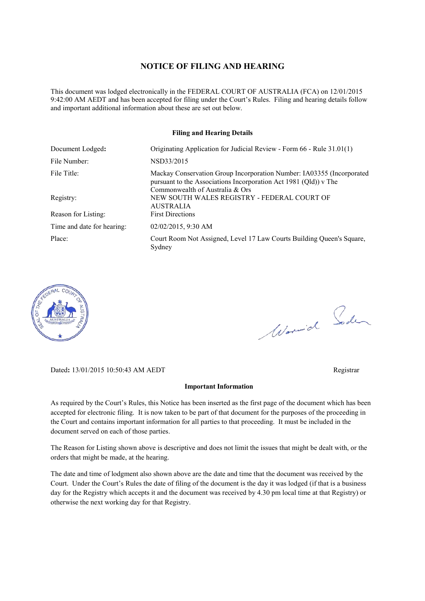#### **NOTICE OF FILING AND HEARING**

This document was lodged electronically in the FEDERAL COURT OF AUSTRALIA (FCA) on 12/01/2015 9:42:00 AM AEDT and has been accepted for filing under the Court's Rules. Filing and hearing details follow and important additional information about these are set out below.

#### **Filing and Hearing Details**

| Document Lodged:           | Originating Application for Judicial Review - Form 66 - Rule 31.01(1)                                                                                                        |
|----------------------------|------------------------------------------------------------------------------------------------------------------------------------------------------------------------------|
| File Number:               | NSD33/2015                                                                                                                                                                   |
| File Title:                | Mackay Conservation Group Incorporation Number: IA03355 (Incorporated<br>pursuant to the Associations Incorporation Act 1981 (Qld)) v The<br>Commonwealth of Australia & Ors |
| Registry:                  | NEW SOUTH WALES REGISTRY - FEDERAL COURT OF<br><b>AUSTRALIA</b>                                                                                                              |
| Reason for Listing:        | <b>First Directions</b>                                                                                                                                                      |
| Time and date for hearing: | 02/02/2015, 9:30 AM                                                                                                                                                          |
| Place:                     | Court Room Not Assigned, Level 17 Law Courts Building Queen's Square,<br>Sydney                                                                                              |



Worwich Soden

Dated**:** 13/01/2015 10:50:43 AM AEDT Registrar

#### **Important Information**

As required by the Court's Rules, this Notice has been inserted as the first page of the document which has been accepted for electronic filing. It is now taken to be part of that document for the purposes of the proceeding in the Court and contains important information for all parties to that proceeding. It must be included in the document served on each of those parties.

The Reason for Listing shown above is descriptive and does not limit the issues that might be dealt with, or the orders that might be made, at the hearing.

The date and time of lodgment also shown above are the date and time that the document was received by the Court. Under the Court's Rules the date of filing of the document is the day it was lodged (if that is a business day for the Registry which accepts it and the document was received by 4.30 pm local time at that Registry) or otherwise the next working day for that Registry.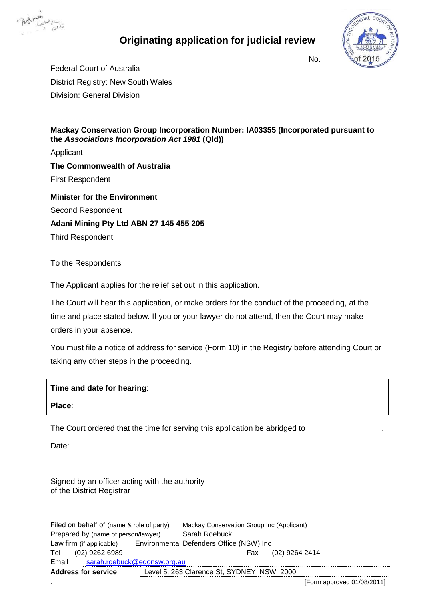

# **Originating application for judicial review**



No.

Federal Court of Australia District Registry: New South Wales Division: General Division

### **Mackay Conservation Group Incorporation Number: IA03355 (Incorporated pursuant to the** *Associations Incorporation Act 1981* **(Qld))**

Applicant **The Commonwealth of Australia** First Respondent **Minister for the Environment** Second Respondent **Adani Mining Pty Ltd ABN 27 145 455 205**

Third Respondent

## To the Respondents

The Applicant applies for the relief set out in this application.

The Court will hear this application, or make orders for the conduct of the proceeding, at the time and place stated below. If you or your lawyer do not attend, then the Court may make orders in your absence.

You must file a notice of address for service (Form 10) in the Registry before attending Court or taking any other steps in the proceeding.

| Time and date for hearing: |  |
|----------------------------|--|
|----------------------------|--|

**Place**:

The Court ordered that the time for serving this application be abridged to

Date:

Signed by an officer acting with the authority of the District Registrar

Filed on behalf of (name & role of party) Mackay Conservation Group Inc (Applicant) Prepared by (name of person/lawyer) Sarah Roebuck Law firm (if applicable) Environmental Defenders Office (NSW) Inc Tel (02) 9262 6989 **Fax** (02) 9264 2414 Email [sarah.roebuck@edonsw.org.au](mailto:Sue.higginson@edonsw.org.au) **Address for service** Level 5, 263 Clarence St, SYDNEY NSW 2000

. [Form approved 01/08/2011]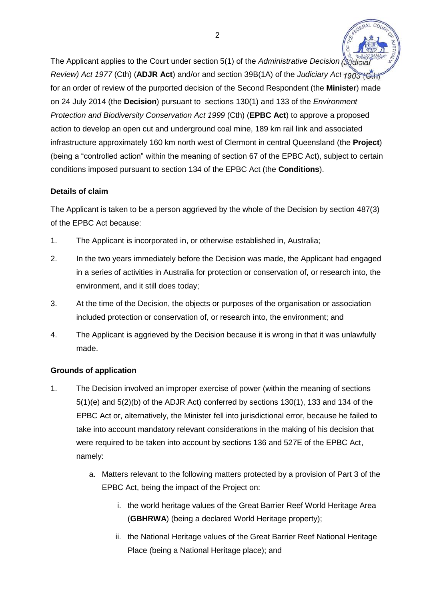The Applicant applies to the Court under section 5(1) of the *Administrative Decision* (Sulf *Review) Act 1977* (Cth) (**ADJR Act**) and/or and section 39B(1A) of the *Judiciary Act 1903* (Cth) for an order of review of the purported decision of the Second Respondent (the **Minister**) made on 24 July 2014 (the **Decision**) pursuant to sections 130(1) and 133 of the *Environment Protection and Biodiversity Conservation Act 1999* (Cth) (**EPBC Act**) to approve a proposed action to develop an open cut and underground coal mine, 189 km rail link and associated infrastructure approximately 160 km north west of Clermont in central Queensland (the **Project**) (being a "controlled action" within the meaning of section 67 of the EPBC Act), subject to certain conditions imposed pursuant to section 134 of the EPBC Act (the **Conditions**).

# **Details of claim**

The Applicant is taken to be a person aggrieved by the whole of the Decision by section 487(3) of the EPBC Act because:

- 1. The Applicant is incorporated in, or otherwise established in, Australia;
- 2. In the two years immediately before the Decision was made, the Applicant had engaged in a series of activities in Australia for protection or conservation of, or research into, the environment, and it still does today;
- 3. At the time of the Decision, the objects or purposes of the organisation or association included protection or conservation of, or research into, the environment; and
- 4. The Applicant is aggrieved by the Decision because it is wrong in that it was unlawfully made.

# **Grounds of application**

- 1. The Decision involved an improper exercise of power (within the meaning of sections 5(1)(e) and 5(2)(b) of the ADJR Act) conferred by sections 130(1), 133 and 134 of the EPBC Act or, alternatively, the Minister fell into jurisdictional error, because he failed to take into account mandatory relevant considerations in the making of his decision that were required to be taken into account by sections 136 and 527E of the EPBC Act, namely:
	- a. Matters relevant to the following matters protected by a provision of Part 3 of the EPBC Act, being the impact of the Project on:
		- i. the world heritage values of the Great Barrier Reef World Heritage Area (**GBHRWA**) (being a declared World Heritage property);
		- ii. the National Heritage values of the Great Barrier Reef National Heritage Place (being a National Heritage place); and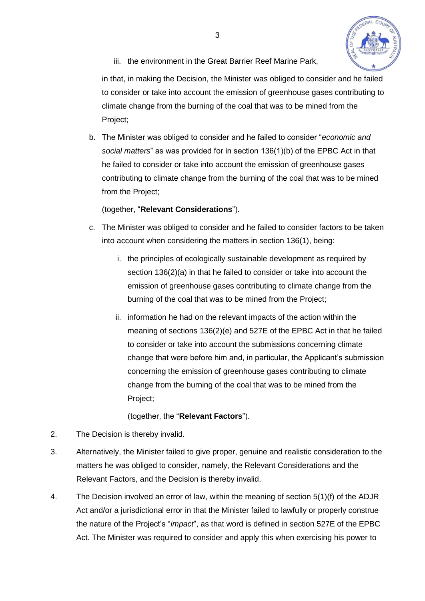

iii. the environment in the Great Barrier Reef Marine Park.

in that, in making the Decision, the Minister was obliged to consider and he failed to consider or take into account the emission of greenhouse gases contributing to climate change from the burning of the coal that was to be mined from the Project;

b. The Minister was obliged to consider and he failed to consider "*economic and social matters*" as was provided for in section 136(1)(b) of the EPBC Act in that he failed to consider or take into account the emission of greenhouse gases contributing to climate change from the burning of the coal that was to be mined from the Project;

# (together, "**Relevant Considerations**").

- c. The Minister was obliged to consider and he failed to consider factors to be taken into account when considering the matters in section 136(1), being:
	- i. the principles of ecologically sustainable development as required by section 136(2)(a) in that he failed to consider or take into account the emission of greenhouse gases contributing to climate change from the burning of the coal that was to be mined from the Project;
	- ii. information he had on the relevant impacts of the action within the meaning of sections 136(2)(e) and 527E of the EPBC Act in that he failed to consider or take into account the submissions concerning climate change that were before him and, in particular, the Applicant's submission concerning the emission of greenhouse gases contributing to climate change from the burning of the coal that was to be mined from the Project;

(together, the "**Relevant Factors**").

- 2. The Decision is thereby invalid.
- 3. Alternatively, the Minister failed to give proper, genuine and realistic consideration to the matters he was obliged to consider, namely, the Relevant Considerations and the Relevant Factors, and the Decision is thereby invalid.
- 4. The Decision involved an error of law, within the meaning of section 5(1)(f) of the ADJR Act and/or a jurisdictional error in that the Minister failed to lawfully or properly construe the nature of the Project's "*impact*", as that word is defined in section 527E of the EPBC Act. The Minister was required to consider and apply this when exercising his power to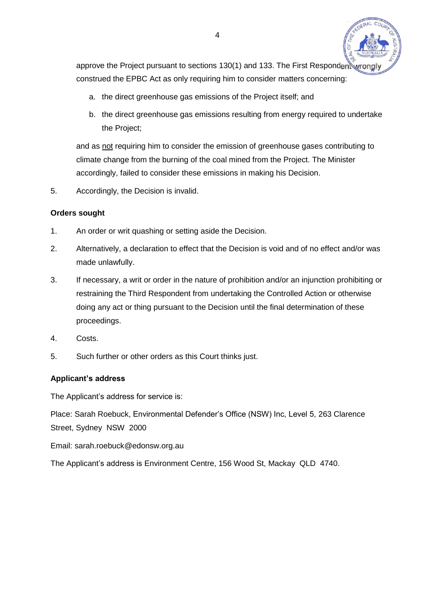

approve the Project pursuant to sections 130(1) and 133. The First Respondent wrong construed the EPBC Act as only requiring him to consider matters concerning:

- a. the direct greenhouse gas emissions of the Project itself; and
- b. the direct greenhouse gas emissions resulting from energy required to undertake the Project;

and as not requiring him to consider the emission of greenhouse gases contributing to climate change from the burning of the coal mined from the Project. The Minister accordingly, failed to consider these emissions in making his Decision.

5. Accordingly, the Decision is invalid.

## **Orders sought**

- 1. An order or writ quashing or setting aside the Decision.
- 2. Alternatively, a declaration to effect that the Decision is void and of no effect and/or was made unlawfully.
- 3. If necessary, a writ or order in the nature of prohibition and/or an injunction prohibiting or restraining the Third Respondent from undertaking the Controlled Action or otherwise doing any act or thing pursuant to the Decision until the final determination of these proceedings.
- 4. Costs.
- 5. Such further or other orders as this Court thinks just.

# **Applicant's address**

The Applicant's address for service is:

Place: Sarah Roebuck, Environmental Defender's Office (NSW) Inc, Level 5, 263 Clarence Street, Sydney NSW 2000

Email: sarah.roebuck@edonsw.org.au

The Applicant's address is Environment Centre, 156 Wood St, Mackay QLD 4740.